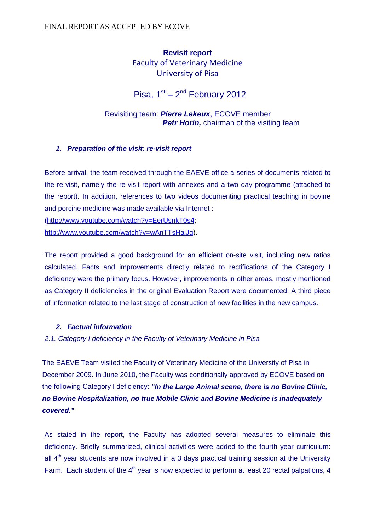## **Revisit report**  Faculty of Veterinary Medicine University of Pisa

# Pisa,  $1<sup>st</sup> - 2<sup>nd</sup>$  February 2012

## Revisiting team: **Pierre Lekeux**, ECOVE member **Petr Horin,** chairman of the visiting team

#### **1. Preparation of the visit: re-visit report**

Before arrival, the team received through the EAEVE office a series of documents related to the re-visit, namely the re-visit report with annexes and a two day programme (attached to the report). In addition, references to two videos documenting practical teaching in bovine and porcine medicine was made available via Internet :

(http://www.youtube.com/watch?v=EerUsnkT0s4;

http://www.youtube.com/watch?v=wAnTTsHajJg).

The report provided a good background for an efficient on-site visit, including new ratios calculated. Facts and improvements directly related to rectifications of the Category I deficiency were the primary focus. However, improvements in other areas, mostly mentioned as Category II deficiencies in the original Evaluation Report were documented. A third piece of information related to the last stage of construction of new facilities in the new campus.

## **2. Factual information**

## 2.1. Category I deficiency in the Faculty of Veterinary Medicine in Pisa

The EAEVE Team visited the Faculty of Veterinary Medicine of the University of Pisa in December 2009. In June 2010, the Faculty was conditionally approved by ECOVE based on the following Category I deficiency: **"In the Large Animal scene, there is no Bovine Clinic, no Bovine Hospitalization, no true Mobile Clinic and Bovine Medicine is inadequately covered."**

As stated in the report, the Faculty has adopted several measures to eliminate this deficiency. Briefly summarized, clinical activities were added to the fourth year curriculum: all  $4<sup>th</sup>$  year students are now involved in a 3 days practical training session at the University Farm. Each student of the  $4<sup>th</sup>$  year is now expected to perform at least 20 rectal palpations, 4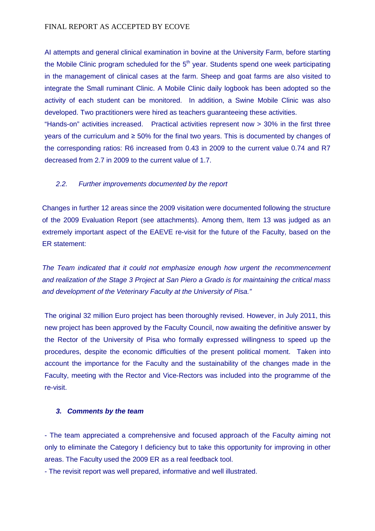#### FINAL REPORT AS ACCEPTED BY ECOVE

AI attempts and general clinical examination in bovine at the University Farm, before starting the Mobile Clinic program scheduled for the  $5<sup>th</sup>$  year. Students spend one week participating in the management of clinical cases at the farm. Sheep and goat farms are also visited to integrate the Small ruminant Clinic. A Mobile Clinic daily logbook has been adopted so the activity of each student can be monitored. In addition, a Swine Mobile Clinic was also developed. Two practitioners were hired as teachers guaranteeing these activities.

"Hands-on" activities increased. Practical activities represent now > 30% in the first three years of the curriculum and ≥ 50% for the final two years. This is documented by changes of the corresponding ratios: R6 increased from 0.43 in 2009 to the current value 0.74 and R7 decreased from 2.7 in 2009 to the current value of 1.7.

#### 2.2. Further improvements documented by the report

Changes in further 12 areas since the 2009 visitation were documented following the structure of the 2009 Evaluation Report (see attachments). Among them, Item 13 was judged as an extremely important aspect of the EAEVE re-visit for the future of the Faculty, based on the ER statement:

The Team indicated that it could not emphasize enough how urgent the recommencement and realization of the Stage 3 Project at San Piero a Grado is for maintaining the critical mass and development of the Veterinary Faculty at the University of Pisa."

The original 32 million Euro project has been thoroughly revised. However, in July 2011, this new project has been approved by the Faculty Council, now awaiting the definitive answer by the Rector of the University of Pisa who formally expressed willingness to speed up the procedures, despite the economic difficulties of the present political moment. Taken into account the importance for the Faculty and the sustainability of the changes made in the Faculty, meeting with the Rector and Vice-Rectors was included into the programme of the re-visit.

#### **3. Comments by the team**

- The team appreciated a comprehensive and focused approach of the Faculty aiming not only to eliminate the Category I deficiency but to take this opportunity for improving in other areas. The Faculty used the 2009 ER as a real feedback tool.

- The revisit report was well prepared, informative and well illustrated.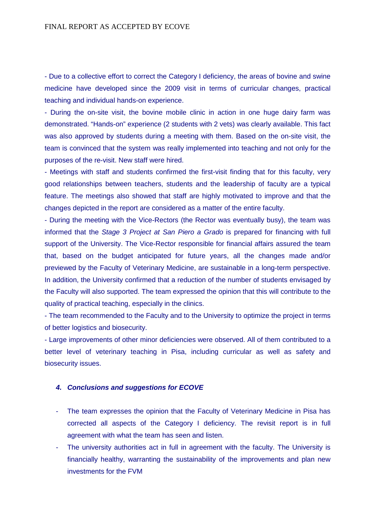- Due to a collective effort to correct the Category I deficiency, the areas of bovine and swine medicine have developed since the 2009 visit in terms of curricular changes, practical teaching and individual hands-on experience.

- During the on-site visit, the bovine mobile clinic in action in one huge dairy farm was demonstrated. "Hands-on" experience (2 students with 2 vets) was clearly available. This fact was also approved by students during a meeting with them. Based on the on-site visit, the team is convinced that the system was really implemented into teaching and not only for the purposes of the re-visit. New staff were hired.

- Meetings with staff and students confirmed the first-visit finding that for this faculty, very good relationships between teachers, students and the leadership of faculty are a typical feature. The meetings also showed that staff are highly motivated to improve and that the changes depicted in the report are considered as a matter of the entire faculty.

- During the meeting with the Vice-Rectors (the Rector was eventually busy), the team was informed that the Stage 3 Project at San Piero a Grado is prepared for financing with full support of the University. The Vice-Rector responsible for financial affairs assured the team that, based on the budget anticipated for future years, all the changes made and/or previewed by the Faculty of Veterinary Medicine, are sustainable in a long-term perspective. In addition, the University confirmed that a reduction of the number of students envisaged by the Faculty will also supported. The team expressed the opinion that this will contribute to the quality of practical teaching, especially in the clinics.

- The team recommended to the Faculty and to the University to optimize the project in terms of better logistics and biosecurity.

- Large improvements of other minor deficiencies were observed. All of them contributed to a better level of veterinary teaching in Pisa, including curricular as well as safety and biosecurity issues.

#### **4. Conclusions and suggestions for ECOVE**

- The team expresses the opinion that the Faculty of Veterinary Medicine in Pisa has corrected all aspects of the Category I deficiency. The revisit report is in full agreement with what the team has seen and listen.
- The university authorities act in full in agreement with the faculty. The University is financially healthy, warranting the sustainability of the improvements and plan new investments for the FVM